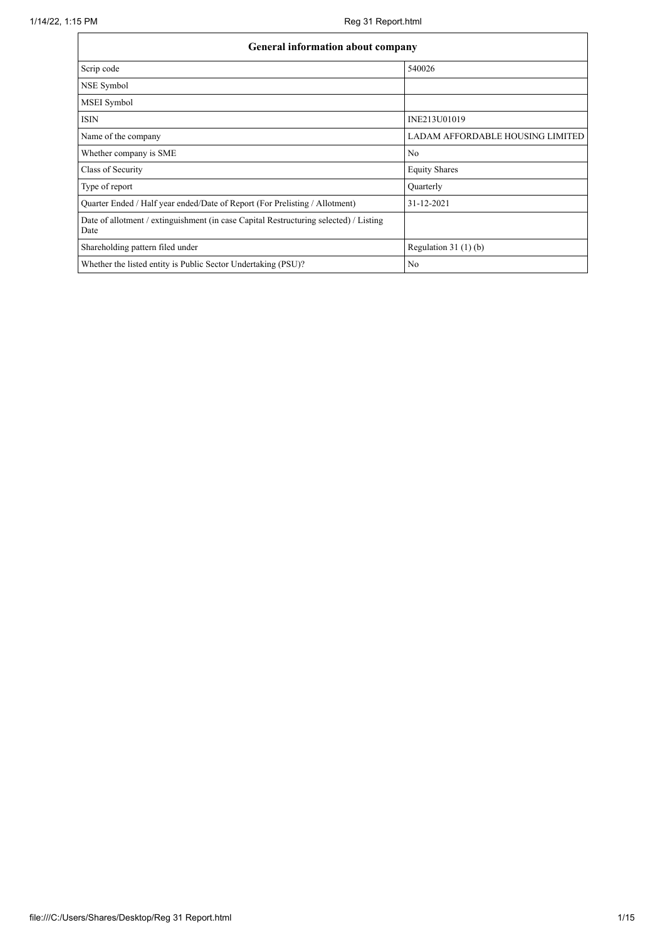| <b>General information about company</b>                                                      |                                  |  |  |  |  |  |  |
|-----------------------------------------------------------------------------------------------|----------------------------------|--|--|--|--|--|--|
| Scrip code                                                                                    | 540026                           |  |  |  |  |  |  |
| NSE Symbol                                                                                    |                                  |  |  |  |  |  |  |
| MSEI Symbol                                                                                   |                                  |  |  |  |  |  |  |
| <b>ISIN</b>                                                                                   | INE213U01019                     |  |  |  |  |  |  |
| Name of the company                                                                           | LADAM AFFORDABLE HOUSING LIMITED |  |  |  |  |  |  |
| Whether company is SME                                                                        | N <sub>0</sub>                   |  |  |  |  |  |  |
| Class of Security                                                                             | <b>Equity Shares</b>             |  |  |  |  |  |  |
| Type of report                                                                                | Quarterly                        |  |  |  |  |  |  |
| Quarter Ended / Half year ended/Date of Report (For Prelisting / Allotment)                   | 31-12-2021                       |  |  |  |  |  |  |
| Date of allotment / extinguishment (in case Capital Restructuring selected) / Listing<br>Date |                                  |  |  |  |  |  |  |
| Shareholding pattern filed under                                                              | Regulation $31(1)(b)$            |  |  |  |  |  |  |
| Whether the listed entity is Public Sector Undertaking (PSU)?                                 | N <sub>0</sub>                   |  |  |  |  |  |  |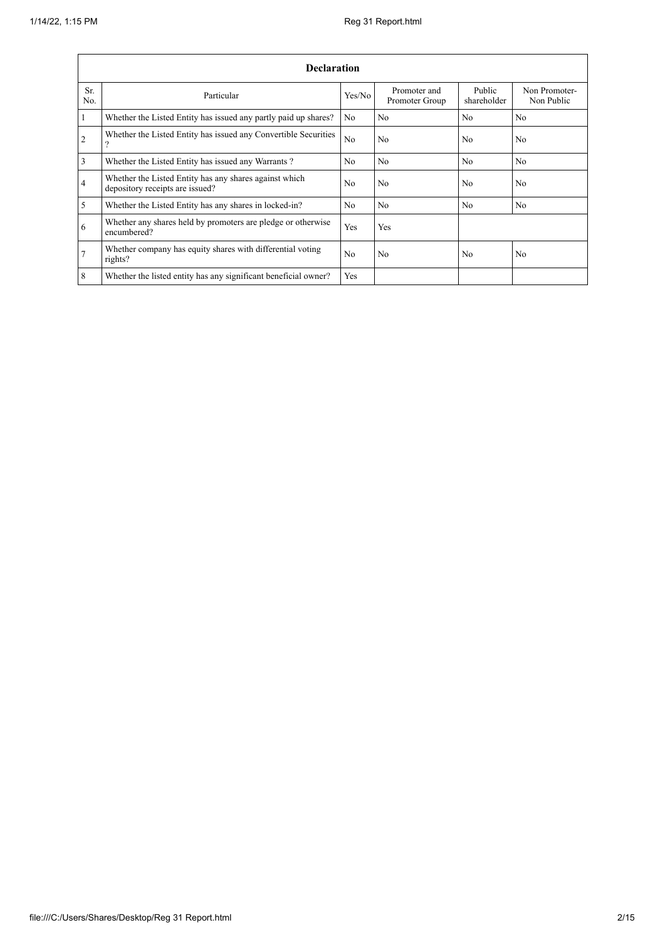$\mathbf{r}$ 

÷

|                  | <b>Declaration</b>                                                                        |                |                                |                       |                             |  |  |  |  |  |  |
|------------------|-------------------------------------------------------------------------------------------|----------------|--------------------------------|-----------------------|-----------------------------|--|--|--|--|--|--|
| Sr.<br>No.       | Particular                                                                                | Yes/No         | Promoter and<br>Promoter Group | Public<br>shareholder | Non Promoter-<br>Non Public |  |  |  |  |  |  |
| $\vert$ 1        | Whether the Listed Entity has issued any partly paid up shares?                           | N <sub>0</sub> | N <sub>0</sub>                 | N <sub>o</sub>        | No                          |  |  |  |  |  |  |
| $\overline{2}$   | Whether the Listed Entity has issued any Convertible Securities<br>$\gamma$               | No             | N <sub>0</sub>                 | N <sub>0</sub>        | N <sub>0</sub>              |  |  |  |  |  |  |
| $\overline{3}$   | Whether the Listed Entity has issued any Warrants?                                        | N <sub>0</sub> | No                             | N <sub>o</sub>        | N <sub>0</sub>              |  |  |  |  |  |  |
| $\overline{4}$   | Whether the Listed Entity has any shares against which<br>depository receipts are issued? | No             | N <sub>0</sub>                 | N <sub>0</sub>        | N <sub>0</sub>              |  |  |  |  |  |  |
| $\overline{5}$   | Whether the Listed Entity has any shares in locked-in?                                    | N <sub>0</sub> | No                             | N <sub>0</sub>        | No                          |  |  |  |  |  |  |
| 6                | Whether any shares held by promoters are pledge or otherwise<br>encumbered?               | Yes            | Yes                            |                       |                             |  |  |  |  |  |  |
| $\overline{7}$   | Whether company has equity shares with differential voting<br>rights?                     | N <sub>0</sub> | N <sub>0</sub>                 | No                    | N <sub>0</sub>              |  |  |  |  |  |  |
| $\boldsymbol{8}$ | Whether the listed entity has any significant beneficial owner?                           | Yes            |                                |                       |                             |  |  |  |  |  |  |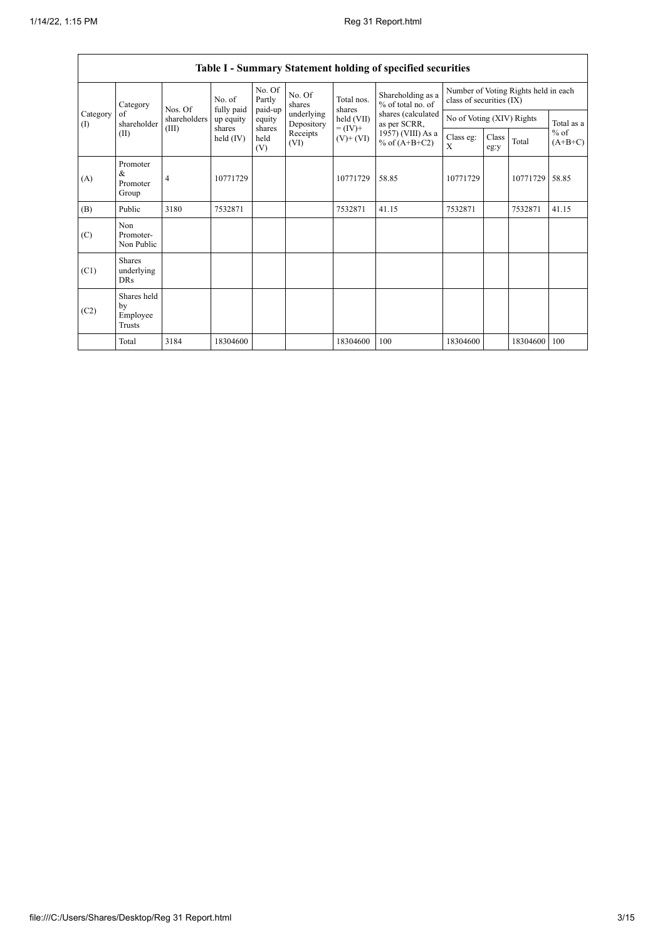$\Gamma$ 

| Table I - Summary Statement holding of specified securities |                                           |                |                       |                             |                          |                          |                                        |                                                                  |                           |          |                     |
|-------------------------------------------------------------|-------------------------------------------|----------------|-----------------------|-----------------------------|--------------------------|--------------------------|----------------------------------------|------------------------------------------------------------------|---------------------------|----------|---------------------|
|                                                             | Category                                  | Nos. Of        | No. of<br>fully paid  | No. Of<br>Partly<br>paid-up | No. Of<br>shares         | Total nos.<br>shares     | Shareholding as a<br>% of total no. of | Number of Voting Rights held in each<br>class of securities (IX) |                           |          |                     |
| Category<br>(1)                                             | of<br>shareholder                         | shareholders   | up equity             | equity                      | underlying<br>Depository | held (VII)               | shares (calculated<br>as per SCRR,     |                                                                  | No of Voting (XIV) Rights |          |                     |
| (II)                                                        |                                           | (III)          | shares<br>held $(IV)$ | shares<br>held<br>(V)       | Receipts<br>(VI)         | $= (IV) +$<br>$(V)+(VI)$ | 1957) (VIII) As a<br>% of $(A+B+C2)$   | Class eg:<br>X                                                   | Class<br>eg:y             | Total    | $%$ of<br>$(A+B+C)$ |
| (A)                                                         | Promoter<br>&<br>Promoter<br>Group        | $\overline{4}$ | 10771729              |                             |                          | 10771729                 | 58.85                                  | 10771729                                                         |                           | 10771729 | 58.85               |
| (B)                                                         | Public                                    | 3180           | 7532871               |                             |                          | 7532871                  | 41.15                                  | 7532871                                                          |                           | 7532871  | 41.15               |
| (C)                                                         | Non<br>Promoter-<br>Non Public            |                |                       |                             |                          |                          |                                        |                                                                  |                           |          |                     |
| (C1)                                                        | <b>Shares</b><br>underlying<br><b>DRs</b> |                |                       |                             |                          |                          |                                        |                                                                  |                           |          |                     |
| (C2)                                                        | Shares held<br>by<br>Employee<br>Trusts   |                |                       |                             |                          |                          |                                        |                                                                  |                           |          |                     |
|                                                             | Total                                     | 3184           | 18304600              |                             |                          | 18304600                 | 100                                    | 18304600                                                         |                           | 18304600 | 100                 |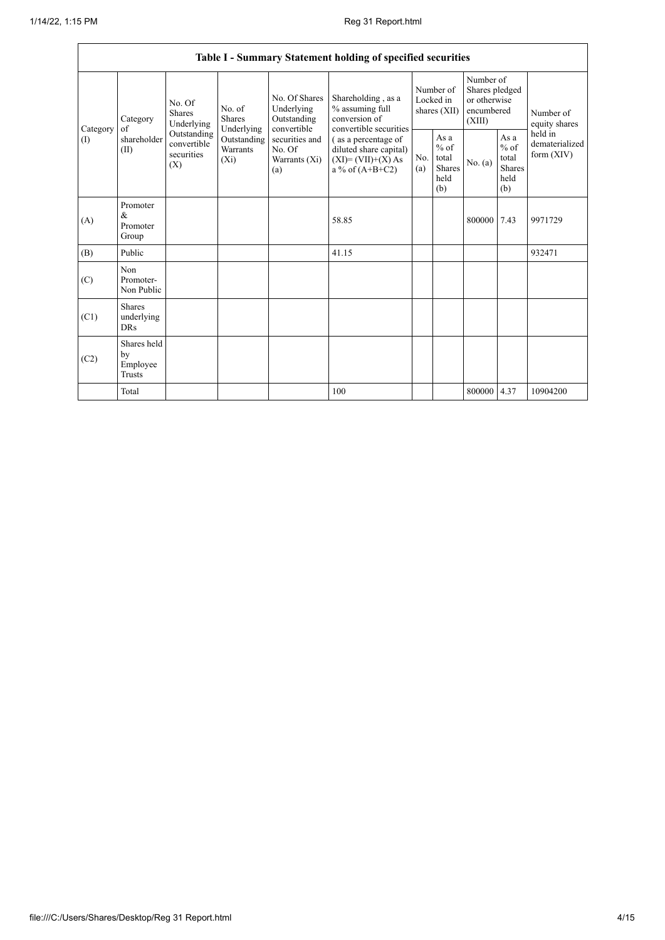|                 | Table I - Summary Statement holding of specified securities |                                                                                                                                                                  |                                                  |                                                                                           |                                                                                  |                                                  |         |                                                                     |                                           |                            |
|-----------------|-------------------------------------------------------------|------------------------------------------------------------------------------------------------------------------------------------------------------------------|--------------------------------------------------|-------------------------------------------------------------------------------------------|----------------------------------------------------------------------------------|--------------------------------------------------|---------|---------------------------------------------------------------------|-------------------------------------------|----------------------------|
| Category<br>(1) | Category<br>of<br>shareholder<br>(II)                       | No. Of<br>No. of<br>Shares<br>Shares<br>Underlying<br>Underlying<br>Outstanding<br>Outstanding<br>convertible<br><b>Warrants</b><br>securities<br>$(X_i)$<br>(X) |                                                  | No. Of Shares<br>Underlying<br>Outstanding<br>convertible                                 | Shareholding, as a<br>% assuming full<br>conversion of<br>convertible securities | Number of<br>Locked in<br>shares (XII)           |         | Number of<br>Shares pledged<br>or otherwise<br>encumbered<br>(XIII) |                                           | Number of<br>equity shares |
|                 |                                                             |                                                                                                                                                                  | securities and<br>No. Of<br>Warrants (Xi)<br>(a) | (as a percentage of<br>diluted share capital)<br>$(XI)=(VII)+(X) As$<br>a % of $(A+B+C2)$ | No.<br>(a)                                                                       | As a<br>$%$ of<br>total<br>Shares<br>held<br>(b) | No. (a) | As $a$<br>$%$ of<br>total<br><b>Shares</b><br>held<br>(b)           | held in<br>dematerialized<br>form $(XIV)$ |                            |
| (A)             | Promoter<br>$\&$<br>Promoter<br>Group                       |                                                                                                                                                                  |                                                  |                                                                                           | 58.85                                                                            |                                                  |         | 800000                                                              | 7.43                                      | 9971729                    |
| (B)             | Public                                                      |                                                                                                                                                                  |                                                  |                                                                                           | 41.15                                                                            |                                                  |         |                                                                     |                                           | 932471                     |
| (C)             | Non<br>Promoter-<br>Non Public                              |                                                                                                                                                                  |                                                  |                                                                                           |                                                                                  |                                                  |         |                                                                     |                                           |                            |
| (C1)            | <b>Shares</b><br>underlying<br><b>DRs</b>                   |                                                                                                                                                                  |                                                  |                                                                                           |                                                                                  |                                                  |         |                                                                     |                                           |                            |
| (C2)            | Shares held<br>by<br>Employee<br>Trusts                     |                                                                                                                                                                  |                                                  |                                                                                           |                                                                                  |                                                  |         |                                                                     |                                           |                            |
|                 | Total                                                       |                                                                                                                                                                  |                                                  |                                                                                           | 100                                                                              |                                                  |         | 800000                                                              | 4.37                                      | 10904200                   |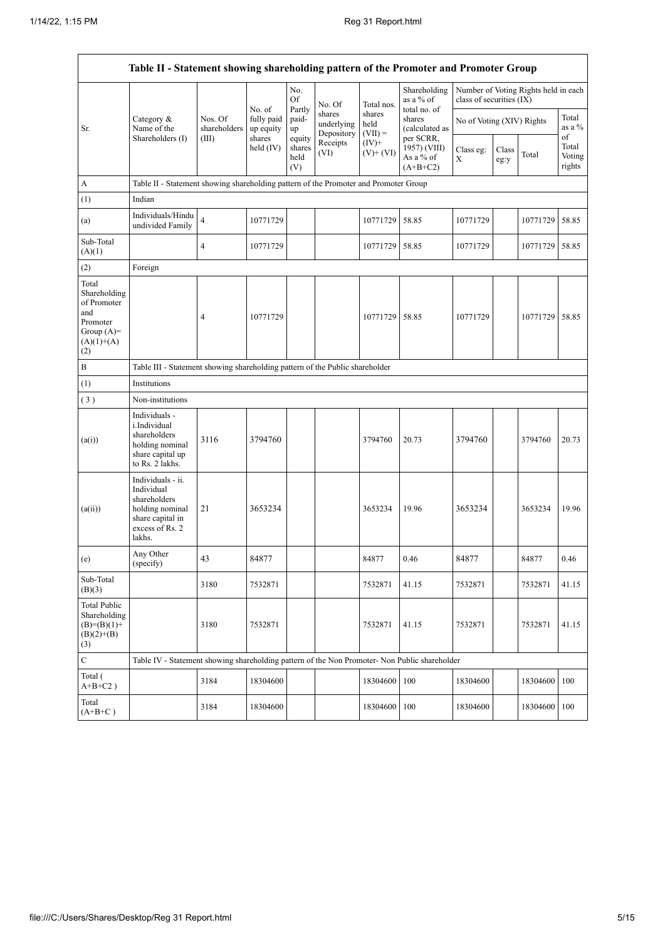$\mathsf{r}$ 

 $\overline{\phantom{a}}$ 

| Table II - Statement showing shareholding pattern of the Promoter and Promoter Group           |                                                                                                                     |                                                                              |                                                            |                                 |                                    |                             |                                                      |                           |               |                                      |                           |
|------------------------------------------------------------------------------------------------|---------------------------------------------------------------------------------------------------------------------|------------------------------------------------------------------------------|------------------------------------------------------------|---------------------------------|------------------------------------|-----------------------------|------------------------------------------------------|---------------------------|---------------|--------------------------------------|---------------------------|
|                                                                                                |                                                                                                                     |                                                                              | No. of<br>fully paid<br>up equity<br>shares<br>held $(IV)$ | No.<br>Of                       | No. Of                             | Total nos.                  | Shareholding<br>as a % of                            | class of securities (IX)  |               | Number of Voting Rights held in each |                           |
| Sr.                                                                                            | Category &<br>Name of the                                                                                           | Nos. Of<br>shareholders                                                      |                                                            | Partly<br>paid-<br>up           | shares<br>underlying<br>Depository | shares<br>held<br>$(VII) =$ | total no. of<br>shares<br>(calculated as             | No of Voting (XIV) Rights |               |                                      | Total<br>as a %<br>of     |
|                                                                                                | Shareholders (I)                                                                                                    | (III)                                                                        |                                                            | equity<br>shares<br>held<br>(V) | Receipts<br>(VI)                   | $(IV)$ +<br>$(V)+(VI)$      | per SCRR,<br>1957) (VIII)<br>As a % of<br>$(A+B+C2)$ | Class eg:<br>X            | Class<br>eg:y | Total                                | Total<br>Voting<br>rights |
| A                                                                                              | Table II - Statement showing shareholding pattern of the Promoter and Promoter Group                                |                                                                              |                                                            |                                 |                                    |                             |                                                      |                           |               |                                      |                           |
| (1)                                                                                            | Indian                                                                                                              |                                                                              |                                                            |                                 |                                    |                             |                                                      |                           |               |                                      |                           |
| (a)                                                                                            | Individuals/Hindu<br>undivided Family                                                                               | $\overline{4}$                                                               | 10771729                                                   |                                 |                                    | 10771729                    | 58.85                                                | 10771729                  |               | 10771729                             | 58.85                     |
| Sub-Total<br>(A)(1)                                                                            |                                                                                                                     | $\overline{4}$                                                               | 10771729                                                   |                                 |                                    | 10771729                    | 58.85                                                | 10771729                  |               | 10771729                             | 58.85                     |
| (2)                                                                                            | Foreign                                                                                                             |                                                                              |                                                            |                                 |                                    |                             |                                                      |                           |               |                                      |                           |
| Total<br>Shareholding<br>of Promoter<br>and<br>Promoter<br>Group $(A)=$<br>$(A)(1)+(A)$<br>(2) |                                                                                                                     | $\overline{4}$                                                               | 10771729                                                   |                                 |                                    | 10771729                    | 58.85                                                | 10771729                  |               | 10771729                             | 58.85                     |
| $\, {\bf B}$                                                                                   |                                                                                                                     | Table III - Statement showing shareholding pattern of the Public shareholder |                                                            |                                 |                                    |                             |                                                      |                           |               |                                      |                           |
| (1)                                                                                            | Institutions                                                                                                        |                                                                              |                                                            |                                 |                                    |                             |                                                      |                           |               |                                      |                           |
| (3)                                                                                            | Non-institutions                                                                                                    |                                                                              |                                                            |                                 |                                    |                             |                                                      |                           |               |                                      |                           |
| (a(i))                                                                                         | Individuals -<br>i.Individual<br>shareholders<br>holding nominal<br>share capital up<br>to Rs. 2 lakhs.             | 3116                                                                         | 3794760                                                    |                                 |                                    | 3794760                     | 20.73                                                | 3794760                   |               | 3794760                              | 20.73                     |
| (a(ii))                                                                                        | Individuals - ii.<br>Individual<br>shareholders<br>holding nominal<br>share capital in<br>excess of Rs. 2<br>lakhs. | 21                                                                           | 3653234                                                    |                                 |                                    | 3653234                     | 19.96                                                | 3653234                   |               | 3653234                              | 19.96                     |
| (e)                                                                                            | Any Other<br>(specify)                                                                                              | 43                                                                           | 84877                                                      |                                 |                                    | 84877                       | 0.46                                                 | 84877                     |               | 84877                                | 0.46                      |
| Sub-Total<br>(B)(3)                                                                            |                                                                                                                     | 3180                                                                         | 7532871                                                    |                                 |                                    | 7532871                     | 41.15                                                | 7532871                   |               | 7532871                              | 41.15                     |
| <b>Total Public</b><br>Shareholding<br>$(B)=(B)(1)+$<br>$(B)(2)+(B)$<br>(3)                    |                                                                                                                     | 3180                                                                         | 7532871                                                    |                                 |                                    | 7532871                     | 41.15                                                | 7532871                   |               | 7532871                              | 41.15                     |
| $\mathbf C$                                                                                    | Table IV - Statement showing shareholding pattern of the Non Promoter- Non Public shareholder                       |                                                                              |                                                            |                                 |                                    |                             |                                                      |                           |               |                                      |                           |
| Total (<br>$A+B+C2$ )                                                                          |                                                                                                                     | 3184                                                                         | 18304600                                                   |                                 |                                    | 18304600                    | 100                                                  | 18304600                  |               | 18304600                             | 100                       |
| Total<br>$(A+B+C)$                                                                             |                                                                                                                     | 3184                                                                         | 18304600                                                   |                                 |                                    | 18304600                    | 100                                                  | 18304600                  |               | 18304600 100                         |                           |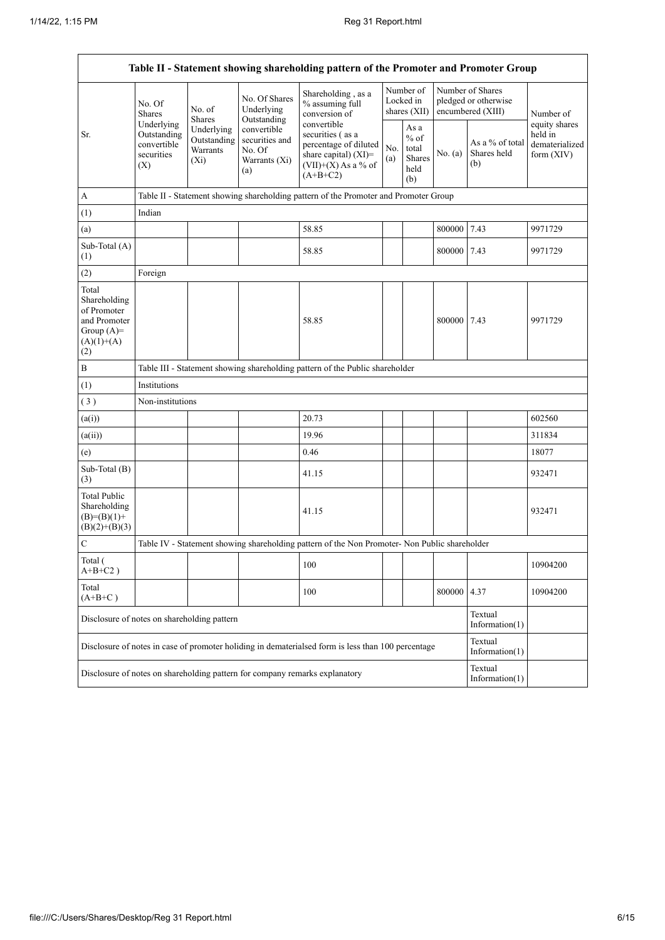$\overline{1}$ 

| Table II - Statement showing shareholding pattern of the Promoter and Promoter Group        |                                                                                                                |                                                                                      |                                                                 |                                                                                                                            |            |                                                  |         |                                                               |                                                          |  |
|---------------------------------------------------------------------------------------------|----------------------------------------------------------------------------------------------------------------|--------------------------------------------------------------------------------------|-----------------------------------------------------------------|----------------------------------------------------------------------------------------------------------------------------|------------|--------------------------------------------------|---------|---------------------------------------------------------------|----------------------------------------------------------|--|
|                                                                                             | No. Of<br>Shares                                                                                               | No. of<br><b>Shares</b>                                                              | No. Of Shares<br>Underlying<br>Outstanding                      | Shareholding, as a<br>% assuming full<br>conversion of                                                                     |            | Number of<br>Locked in<br>shares (XII)           |         | Number of Shares<br>pledged or otherwise<br>encumbered (XIII) | Number of                                                |  |
| Sr.                                                                                         | Underlying<br>Underlying<br>Outstanding<br>Outstanding<br>convertible<br>Warrants<br>securities<br>(Xi)<br>(X) |                                                                                      | convertible<br>securities and<br>No. Of<br>Warrants (Xi)<br>(a) | convertible<br>securities (as a<br>percentage of diluted<br>share capital) $(XI)$ =<br>$(VII)+(X)$ As a % of<br>$(A+B+C2)$ | No.<br>(a) | As a<br>$%$ of<br>total<br>Shares<br>held<br>(b) | No. (a) | As a % of total<br>Shares held<br>(b)                         | equity shares<br>held in<br>dematerialized<br>form (XIV) |  |
| A                                                                                           |                                                                                                                | Table II - Statement showing shareholding pattern of the Promoter and Promoter Group |                                                                 |                                                                                                                            |            |                                                  |         |                                                               |                                                          |  |
| (1)                                                                                         | Indian                                                                                                         |                                                                                      |                                                                 |                                                                                                                            |            |                                                  |         |                                                               |                                                          |  |
| (a)                                                                                         |                                                                                                                |                                                                                      |                                                                 | 58.85                                                                                                                      |            |                                                  | 800000  | 7.43                                                          | 9971729                                                  |  |
| Sub-Total (A)<br>(1)                                                                        |                                                                                                                |                                                                                      |                                                                 | 58.85                                                                                                                      |            |                                                  | 800000  | 7.43                                                          | 9971729                                                  |  |
| (2)                                                                                         | Foreign                                                                                                        |                                                                                      |                                                                 |                                                                                                                            |            |                                                  |         |                                                               |                                                          |  |
| Total<br>Shareholding<br>of Promoter<br>and Promoter<br>Group $(A)=$<br>$(A)(1)+(A)$<br>(2) |                                                                                                                |                                                                                      |                                                                 | 58.85                                                                                                                      |            |                                                  | 800000  | 7.43                                                          | 9971729                                                  |  |
| $\, {\bf B}$                                                                                |                                                                                                                | Table III - Statement showing shareholding pattern of the Public shareholder         |                                                                 |                                                                                                                            |            |                                                  |         |                                                               |                                                          |  |
| (1)                                                                                         | Institutions                                                                                                   |                                                                                      |                                                                 |                                                                                                                            |            |                                                  |         |                                                               |                                                          |  |
| (3)                                                                                         | Non-institutions                                                                                               |                                                                                      |                                                                 |                                                                                                                            |            |                                                  |         |                                                               |                                                          |  |
| (a(i))                                                                                      |                                                                                                                |                                                                                      |                                                                 | 20.73                                                                                                                      |            |                                                  |         |                                                               | 602560                                                   |  |
| (a(ii))                                                                                     |                                                                                                                |                                                                                      |                                                                 | 19.96                                                                                                                      |            |                                                  |         |                                                               | 311834                                                   |  |
| (e)                                                                                         |                                                                                                                |                                                                                      |                                                                 | 0.46                                                                                                                       |            |                                                  |         |                                                               | 18077                                                    |  |
| Sub-Total (B)<br>(3)                                                                        |                                                                                                                |                                                                                      |                                                                 | 41.15                                                                                                                      |            |                                                  |         |                                                               | 932471                                                   |  |
| <b>Total Public</b><br>Shareholding<br>$(B)= (B)(1) +$<br>$(B)(2)+(B)(3)$                   |                                                                                                                |                                                                                      |                                                                 | 41.15                                                                                                                      |            |                                                  |         |                                                               | 932471                                                   |  |
| $\mathbf C$                                                                                 |                                                                                                                |                                                                                      |                                                                 | Table IV - Statement showing shareholding pattern of the Non Promoter- Non Public shareholder                              |            |                                                  |         |                                                               |                                                          |  |
| Total (<br>$A+B+C2$ )                                                                       |                                                                                                                |                                                                                      |                                                                 | 100                                                                                                                        |            |                                                  |         |                                                               | 10904200                                                 |  |
| Total<br>$(A+B+C)$                                                                          |                                                                                                                |                                                                                      |                                                                 | 100                                                                                                                        |            |                                                  | 800000  | 4.37                                                          | 10904200                                                 |  |
| Disclosure of notes on shareholding pattern                                                 |                                                                                                                |                                                                                      |                                                                 |                                                                                                                            |            |                                                  |         | Textual<br>Information $(1)$                                  |                                                          |  |
|                                                                                             |                                                                                                                |                                                                                      |                                                                 | Disclosure of notes in case of promoter holiding in dematerialsed form is less than 100 percentage                         |            |                                                  |         | Textual<br>Information $(1)$                                  |                                                          |  |
|                                                                                             |                                                                                                                |                                                                                      |                                                                 | Disclosure of notes on shareholding pattern for company remarks explanatory                                                |            |                                                  |         | Textual<br>Information $(1)$                                  |                                                          |  |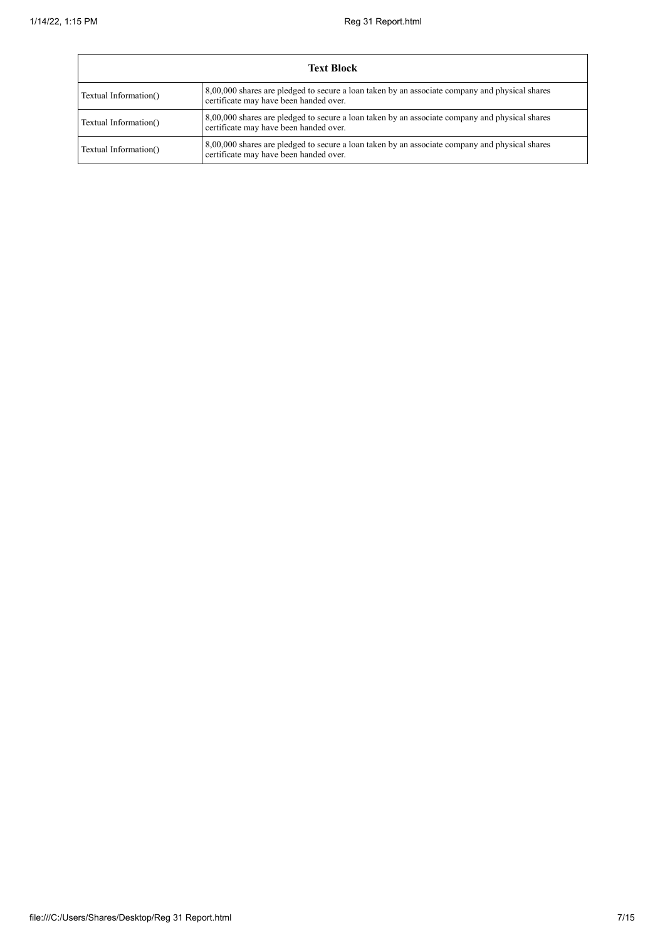÷

| <b>Text Block</b>     |                                                                                                                                          |  |  |  |  |  |  |
|-----------------------|------------------------------------------------------------------------------------------------------------------------------------------|--|--|--|--|--|--|
| Textual Information() | 8,00,000 shares are pledged to secure a loan taken by an associate company and physical shares<br>certificate may have been handed over. |  |  |  |  |  |  |
| Textual Information() | 8,00,000 shares are pledged to secure a loan taken by an associate company and physical shares<br>certificate may have been handed over. |  |  |  |  |  |  |
| Textual Information() | 8,00,000 shares are pledged to secure a loan taken by an associate company and physical shares<br>certificate may have been handed over. |  |  |  |  |  |  |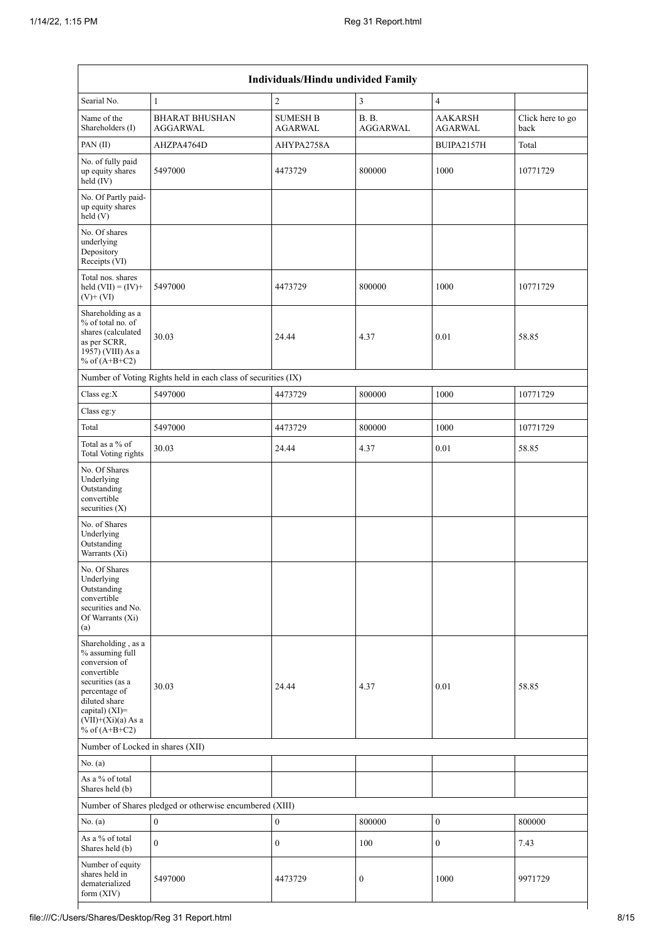| Individuals/Hindu undivided Family                                                                                                                                                          |                                                               |                                   |                                 |                                  |                          |  |  |  |  |
|---------------------------------------------------------------------------------------------------------------------------------------------------------------------------------------------|---------------------------------------------------------------|-----------------------------------|---------------------------------|----------------------------------|--------------------------|--|--|--|--|
| Searial No.                                                                                                                                                                                 | $\mathbf{1}$                                                  | $\overline{c}$                    | 3                               | $\overline{4}$                   |                          |  |  |  |  |
| Name of the<br>Shareholders (I)                                                                                                                                                             | <b>BHARAT BHUSHAN</b><br>AGGARWAL                             | <b>SUMESH B</b><br><b>AGARWAL</b> | <b>B. B.</b><br><b>AGGARWAL</b> | <b>AAKARSH</b><br><b>AGARWAL</b> | Click here to go<br>back |  |  |  |  |
| PAN(II)                                                                                                                                                                                     | AHZPA4764D                                                    | AHYPA2758A                        |                                 | BUIPA2157H                       | Total                    |  |  |  |  |
| No. of fully paid<br>up equity shares<br>held $(IV)$                                                                                                                                        | 5497000                                                       | 4473729                           | 800000                          | 1000                             | 10771729                 |  |  |  |  |
| No. Of Partly paid-<br>up equity shares<br>held (V)                                                                                                                                         |                                                               |                                   |                                 |                                  |                          |  |  |  |  |
| No. Of shares<br>underlying<br>Depository<br>Receipts (VI)                                                                                                                                  |                                                               |                                   |                                 |                                  |                          |  |  |  |  |
| Total nos. shares<br>held $(VII) = (IV) +$<br>$(V)$ + $(VI)$                                                                                                                                | 5497000                                                       | 4473729                           | 800000                          | 1000                             | 10771729                 |  |  |  |  |
| Shareholding as a<br>% of total no. of<br>shares (calculated<br>as per SCRR,<br>1957) (VIII) As a<br>% of $(A+B+C2)$                                                                        | 30.03                                                         | 24.44                             | 4.37                            | 0.01                             | 58.85                    |  |  |  |  |
|                                                                                                                                                                                             | Number of Voting Rights held in each class of securities (IX) |                                   |                                 |                                  |                          |  |  |  |  |
| Class eg:X                                                                                                                                                                                  | 5497000                                                       | 4473729                           | 800000                          | 1000                             | 10771729                 |  |  |  |  |
| Class eg:y                                                                                                                                                                                  |                                                               |                                   |                                 |                                  |                          |  |  |  |  |
| Total                                                                                                                                                                                       | 5497000                                                       | 4473729                           | 800000                          | 1000                             | 10771729                 |  |  |  |  |
| Total as a % of<br><b>Total Voting rights</b>                                                                                                                                               | 30.03                                                         | 24.44                             | 4.37                            | 0.01                             | 58.85                    |  |  |  |  |
| No. Of Shares<br>Underlying<br>Outstanding<br>convertible<br>securities $(X)$                                                                                                               |                                                               |                                   |                                 |                                  |                          |  |  |  |  |
| No. of Shares<br>Underlying<br>Outstanding<br>Warrants (Xi)                                                                                                                                 |                                                               |                                   |                                 |                                  |                          |  |  |  |  |
| No. Of Shares<br>Underlying<br>Outstanding<br>convertible<br>securities and No.<br>Of Warrants (Xi)<br>(a)                                                                                  |                                                               |                                   |                                 |                                  |                          |  |  |  |  |
| Shareholding, as a<br>% assuming full<br>conversion of<br>convertible<br>securities (as a<br>percentage of<br>diluted share<br>capital) $(XI)$ =<br>$(VII)+(Xi)(a)$ As a<br>% of $(A+B+C2)$ | 30.03                                                         | 24.44                             | 4.37                            | 0.01                             | 58.85                    |  |  |  |  |
| Number of Locked in shares (XII)                                                                                                                                                            |                                                               |                                   |                                 |                                  |                          |  |  |  |  |
| No. $(a)$                                                                                                                                                                                   |                                                               |                                   |                                 |                                  |                          |  |  |  |  |
| As a % of total<br>Shares held (b)                                                                                                                                                          |                                                               |                                   |                                 |                                  |                          |  |  |  |  |
|                                                                                                                                                                                             | Number of Shares pledged or otherwise encumbered (XIII)       |                                   |                                 |                                  |                          |  |  |  |  |
| No. (a)                                                                                                                                                                                     | $\boldsymbol{0}$                                              | $\boldsymbol{0}$                  | 800000                          | $\boldsymbol{0}$                 | 800000                   |  |  |  |  |
| As a % of total<br>Shares held (b)                                                                                                                                                          | $\overline{0}$                                                | $\boldsymbol{0}$                  | 100                             | $\boldsymbol{0}$                 | 7.43                     |  |  |  |  |
| Number of equity<br>shares held in<br>dematerialized<br>form $(XIV)$                                                                                                                        | 5497000                                                       | 4473729                           | $\boldsymbol{0}$                | 1000                             | 9971729                  |  |  |  |  |

┪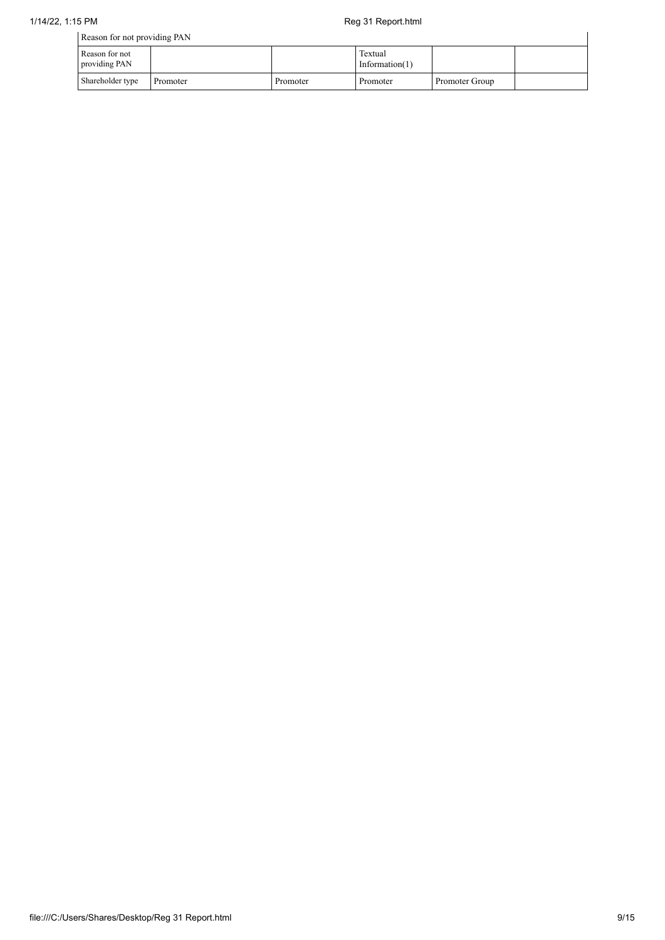| Reason for not providing PAN    |          |          |                              |                |  |
|---------------------------------|----------|----------|------------------------------|----------------|--|
| Reason for not<br>providing PAN |          |          | Textual<br>Information $(1)$ |                |  |
| Shareholder type                | Promoter | Promoter | Promoter                     | Promoter Group |  |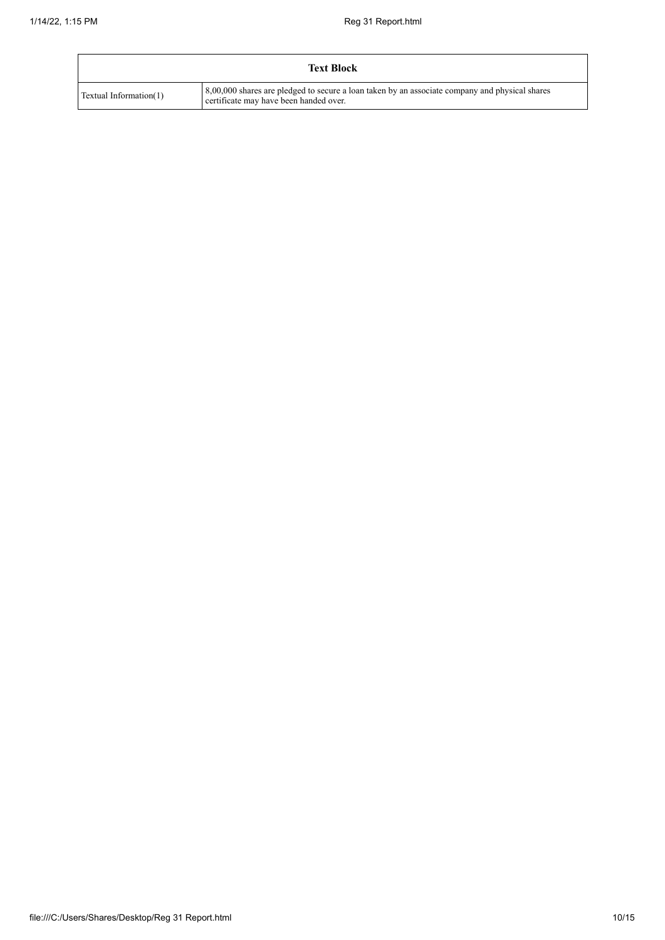|                        | <b>Text Block</b>                                                                                                                        |
|------------------------|------------------------------------------------------------------------------------------------------------------------------------------|
| Textual Information(1) | 8,00,000 shares are pledged to secure a loan taken by an associate company and physical shares<br>certificate may have been handed over. |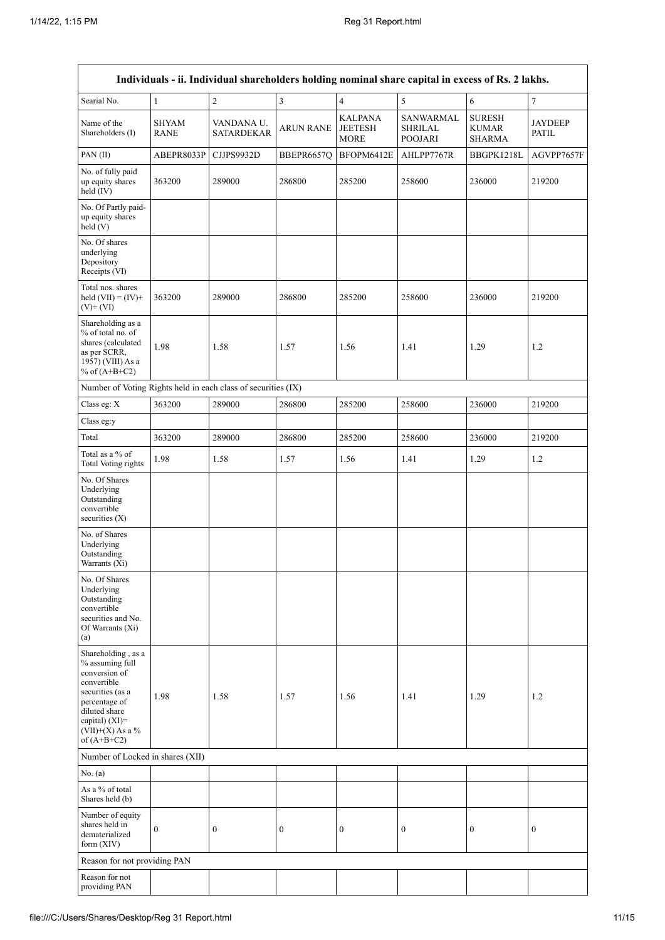| Individuals - ii. Individual shareholders holding nominal share capital in excess of Rs. 2 lakhs.                                                                                       |                             |                                 |                  |                                                 |                                               |                                                |                                |  |  |
|-----------------------------------------------------------------------------------------------------------------------------------------------------------------------------------------|-----------------------------|---------------------------------|------------------|-------------------------------------------------|-----------------------------------------------|------------------------------------------------|--------------------------------|--|--|
| Searial No.                                                                                                                                                                             | $\mathbf{1}$                | $\sqrt{2}$                      | $\mathfrak{Z}$   | $\overline{4}$                                  | $\sqrt{5}$                                    | 6                                              | $\boldsymbol{7}$               |  |  |
| Name of the<br>Shareholders (I)                                                                                                                                                         | <b>SHYAM</b><br><b>RANE</b> | VANDANA U.<br><b>SATARDEKAR</b> | <b>ARUN RANE</b> | <b>KALPANA</b><br><b>JEETESH</b><br><b>MORE</b> | SANWARMAL<br><b>SHRILAL</b><br><b>POOJARI</b> | <b>SURESH</b><br><b>KUMAR</b><br><b>SHARMA</b> | <b>JAYDEEP</b><br><b>PATIL</b> |  |  |
| PAN (II)                                                                                                                                                                                | ABEPR8033P                  | CJJPS9932D                      | BBEPR6657Q       | BFOPM6412E                                      | AHLPP7767R                                    | BBGPK1218L                                     | AGVPP7657F                     |  |  |
| No. of fully paid<br>up equity shares<br>held (IV)                                                                                                                                      | 363200                      | 289000                          | 286800           | 285200                                          | 258600                                        | 236000                                         | 219200                         |  |  |
| No. Of Partly paid-<br>up equity shares<br>held(V)                                                                                                                                      |                             |                                 |                  |                                                 |                                               |                                                |                                |  |  |
| No. Of shares<br>underlying<br>Depository<br>Receipts (VI)                                                                                                                              |                             |                                 |                  |                                                 |                                               |                                                |                                |  |  |
| Total nos. shares<br>held $(VII) = (IV) +$<br>$(V)$ + $(VI)$                                                                                                                            | 363200                      | 289000                          | 286800           | 285200                                          | 258600                                        | 236000                                         | 219200                         |  |  |
| Shareholding as a<br>% of total no. of<br>shares (calculated<br>as per SCRR,<br>1957) (VIII) As a<br>% of $(A+B+C2)$                                                                    | 1.98                        | 1.58                            | 1.57             | 1.56                                            | 1.41                                          | 1.29                                           | 1.2                            |  |  |
| Number of Voting Rights held in each class of securities (IX)                                                                                                                           |                             |                                 |                  |                                                 |                                               |                                                |                                |  |  |
| Class eg: $X$                                                                                                                                                                           | 363200                      | 289000                          | 286800           | 285200                                          | 258600                                        | 236000                                         | 219200                         |  |  |
| Class eg:y                                                                                                                                                                              |                             |                                 |                  |                                                 |                                               |                                                |                                |  |  |
| Total                                                                                                                                                                                   | 363200                      | 289000                          | 286800           | 285200                                          | 258600                                        | 236000                                         | 219200                         |  |  |
| Total as a % of<br><b>Total Voting rights</b>                                                                                                                                           | 1.98                        | 1.58                            | 1.57             | 1.56                                            | 1.41                                          | 1.29                                           | 1.2                            |  |  |
| No. Of Shares<br>Underlying<br>Outstanding<br>convertible<br>securities $(X)$                                                                                                           |                             |                                 |                  |                                                 |                                               |                                                |                                |  |  |
| No. of Shares<br>Underlying<br>Outstanding<br>Warrants (Xi)                                                                                                                             |                             |                                 |                  |                                                 |                                               |                                                |                                |  |  |
| No. Of Shares<br>Underlying<br>Outstanding<br>convertible<br>securities and No.<br>Of Warrants (Xi)<br>(a)                                                                              |                             |                                 |                  |                                                 |                                               |                                                |                                |  |  |
| Shareholding, as a<br>% assuming full<br>conversion of<br>convertible<br>securities (as a<br>percentage of<br>diluted share<br>capital) $(XI)$ =<br>$(VII)+(X)$ As a %<br>of $(A+B+C2)$ | 1.98                        | 1.58                            | 1.57             | 1.56                                            | 1.41                                          | 1.29                                           | 1.2                            |  |  |
| Number of Locked in shares (XII)                                                                                                                                                        |                             |                                 |                  |                                                 |                                               |                                                |                                |  |  |
| No. (a)                                                                                                                                                                                 |                             |                                 |                  |                                                 |                                               |                                                |                                |  |  |
| As a % of total<br>Shares held (b)                                                                                                                                                      |                             |                                 |                  |                                                 |                                               |                                                |                                |  |  |
| Number of equity<br>shares held in<br>dematerialized<br>form $(XIV)$                                                                                                                    | $\boldsymbol{0}$            | $\boldsymbol{0}$                | $\boldsymbol{0}$ | $\boldsymbol{0}$                                | $\boldsymbol{0}$                              | $\boldsymbol{0}$                               | $\boldsymbol{0}$               |  |  |
| Reason for not providing PAN                                                                                                                                                            |                             |                                 |                  |                                                 |                                               |                                                |                                |  |  |
| Reason for not<br>providing PAN                                                                                                                                                         |                             |                                 |                  |                                                 |                                               |                                                |                                |  |  |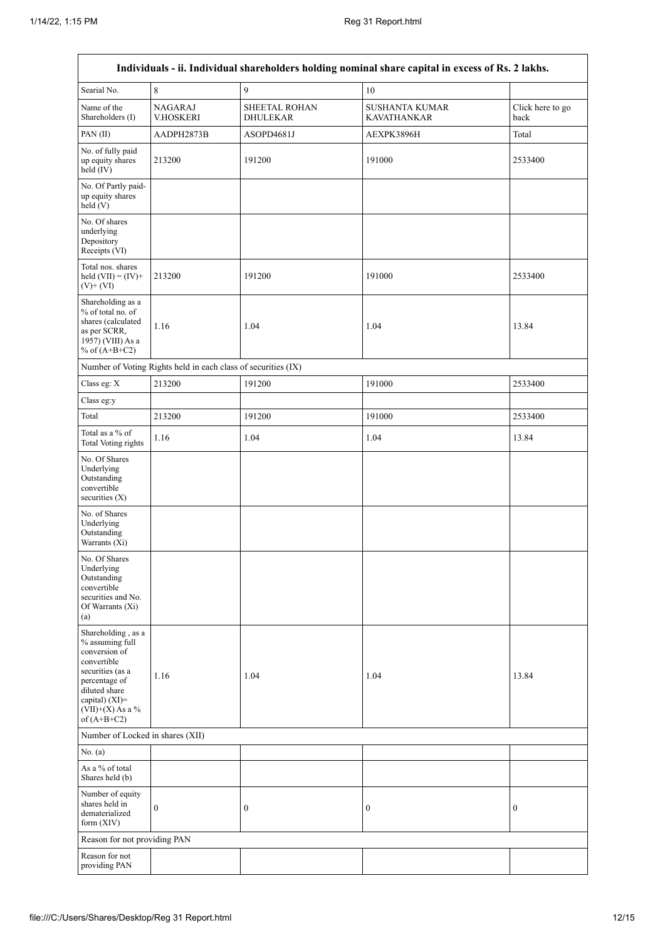$\mathsf{r}$ 

|                                                                                                                                                                                      |                                                               |                                         | Individuals - ii. Individual shareholders holding nominal share capital in excess of Rs. 2 lakhs. |                          |
|--------------------------------------------------------------------------------------------------------------------------------------------------------------------------------------|---------------------------------------------------------------|-----------------------------------------|---------------------------------------------------------------------------------------------------|--------------------------|
| Searial No.                                                                                                                                                                          | 8                                                             | 9                                       | 10                                                                                                |                          |
| Name of the<br>Shareholders (I)                                                                                                                                                      | <b>NAGARAJ</b><br>V.HOSKERI                                   | <b>SHEETAL ROHAN</b><br><b>DHULEKAR</b> | <b>SUSHANTA KUMAR</b><br><b>KAVATHANKAR</b>                                                       | Click here to go<br>back |
| PAN(II)                                                                                                                                                                              | AADPH2873B                                                    | ASOPD4681J                              | AEXPK3896H                                                                                        | Total                    |
| No. of fully paid<br>up equity shares<br>held (IV)                                                                                                                                   | 213200                                                        | 191200                                  | 191000                                                                                            | 2533400                  |
| No. Of Partly paid-<br>up equity shares<br>held (V)                                                                                                                                  |                                                               |                                         |                                                                                                   |                          |
| No. Of shares<br>underlying<br>Depository<br>Receipts (VI)                                                                                                                           |                                                               |                                         |                                                                                                   |                          |
| Total nos. shares<br>held $(VII) = (IV) +$<br>$(V)+(VI)$                                                                                                                             | 213200                                                        | 191200                                  | 191000                                                                                            | 2533400                  |
| Shareholding as a<br>% of total no. of<br>shares (calculated<br>as per SCRR,<br>1957) (VIII) As a<br>% of $(A+B+C2)$                                                                 | 1.16                                                          | 1.04                                    | 1.04                                                                                              | 13.84                    |
|                                                                                                                                                                                      | Number of Voting Rights held in each class of securities (IX) |                                         |                                                                                                   |                          |
| Class eg: X                                                                                                                                                                          | 213200                                                        | 191200                                  | 191000                                                                                            | 2533400                  |
| Class eg:y                                                                                                                                                                           |                                                               |                                         |                                                                                                   |                          |
| Total                                                                                                                                                                                | 213200                                                        | 191200                                  | 191000                                                                                            | 2533400                  |
| Total as a % of<br><b>Total Voting rights</b>                                                                                                                                        | 1.16                                                          | 1.04                                    | 1.04                                                                                              | 13.84                    |
| No. Of Shares<br>Underlying<br>Outstanding<br>convertible<br>securities $(X)$                                                                                                        |                                                               |                                         |                                                                                                   |                          |
| No. of Shares<br>Underlying<br>Outstanding<br>Warrants (Xi)                                                                                                                          |                                                               |                                         |                                                                                                   |                          |
| No. Of Shares<br>Underlying<br>Outstanding<br>convertible<br>securities and No.<br>Of Warrants (Xi)<br>(a)                                                                           |                                                               |                                         |                                                                                                   |                          |
| Shareholding, as a<br>% assuming full<br>conversion of<br>convertible<br>securities (as a<br>percentage of<br>diluted share<br>capital) (XI)=<br>$(VII)+(X)$ As a %<br>of $(A+B+C2)$ | 1.16                                                          | 1.04                                    | 1.04                                                                                              | 13.84                    |
| Number of Locked in shares (XII)                                                                                                                                                     |                                                               |                                         |                                                                                                   |                          |
| No. $(a)$                                                                                                                                                                            |                                                               |                                         |                                                                                                   |                          |
| As a % of total<br>Shares held (b)                                                                                                                                                   |                                                               |                                         |                                                                                                   |                          |
| Number of equity<br>shares held in<br>dematerialized<br>form $(XIV)$                                                                                                                 | $\boldsymbol{0}$                                              | $\boldsymbol{0}$                        | $\boldsymbol{0}$                                                                                  | $\boldsymbol{0}$         |
| Reason for not providing PAN                                                                                                                                                         |                                                               |                                         |                                                                                                   |                          |
| Reason for not<br>providing PAN                                                                                                                                                      |                                                               |                                         |                                                                                                   |                          |

٦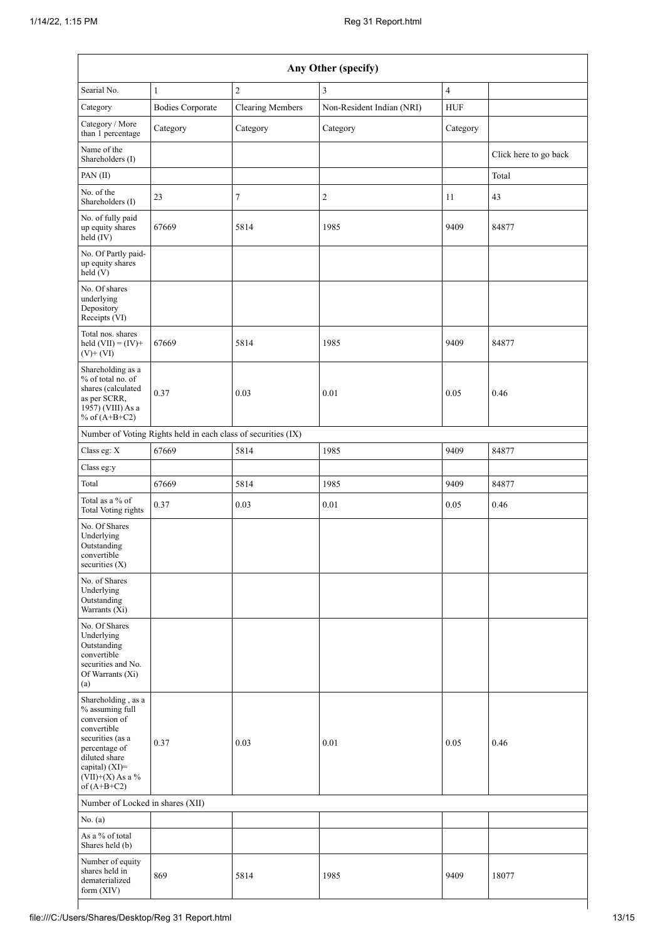| Any Other (specify)                                                                                                                                                                     |                                                               |                         |                           |                         |                       |  |  |  |
|-----------------------------------------------------------------------------------------------------------------------------------------------------------------------------------------|---------------------------------------------------------------|-------------------------|---------------------------|-------------------------|-----------------------|--|--|--|
| Searial No.                                                                                                                                                                             | $\mathbf{1}$                                                  | $\overline{2}$          | 3                         | $\overline{\mathbf{4}}$ |                       |  |  |  |
| Category                                                                                                                                                                                | <b>Bodies Corporate</b>                                       | <b>Clearing Members</b> | Non-Resident Indian (NRI) | <b>HUF</b>              |                       |  |  |  |
| Category / More<br>than 1 percentage                                                                                                                                                    | Category                                                      | Category                | Category                  | Category                |                       |  |  |  |
| Name of the<br>Shareholders (I)                                                                                                                                                         |                                                               |                         |                           |                         | Click here to go back |  |  |  |
| PAN (II)                                                                                                                                                                                |                                                               |                         |                           |                         | Total                 |  |  |  |
| No. of the<br>Shareholders (I)                                                                                                                                                          | 23                                                            | 7                       | 2                         | 11                      | 43                    |  |  |  |
| No. of fully paid<br>up equity shares<br>held (IV)                                                                                                                                      | 67669                                                         | 5814                    | 1985                      | 9409                    | 84877                 |  |  |  |
| No. Of Partly paid-<br>up equity shares<br>held (V)                                                                                                                                     |                                                               |                         |                           |                         |                       |  |  |  |
| No. Of shares<br>underlying<br>Depository<br>Receipts (VI)                                                                                                                              |                                                               |                         |                           |                         |                       |  |  |  |
| Total nos. shares<br>held $(VII) = (IV) +$<br>$(V)+(VI)$                                                                                                                                | 67669                                                         | 5814                    | 1985                      | 9409                    | 84877                 |  |  |  |
| Shareholding as a<br>% of total no. of<br>shares (calculated<br>as per SCRR,<br>1957) (VIII) As a<br>% of $(A+B+C2)$                                                                    | 0.37                                                          | 0.03                    | 0.01                      | 0.05                    | 0.46                  |  |  |  |
|                                                                                                                                                                                         | Number of Voting Rights held in each class of securities (IX) |                         |                           |                         |                       |  |  |  |
| Class eg: X                                                                                                                                                                             | 67669                                                         | 5814                    | 1985                      | 9409                    | 84877                 |  |  |  |
| Class eg:y                                                                                                                                                                              |                                                               |                         |                           |                         |                       |  |  |  |
| Total                                                                                                                                                                                   | 67669                                                         | 5814                    | 1985                      | 9409                    | 84877                 |  |  |  |
| Total as a % of<br><b>Total Voting rights</b>                                                                                                                                           | 0.37                                                          | 0.03                    | 0.01                      | 0.05                    | 0.46                  |  |  |  |
| No. Of Shares<br>Underlying<br>Outstanding<br>convertible<br>securities $(X)$                                                                                                           |                                                               |                         |                           |                         |                       |  |  |  |
| No. of Shares<br>Underlying<br>Outstanding<br>Warrants (Xi)                                                                                                                             |                                                               |                         |                           |                         |                       |  |  |  |
| No. Of Shares<br>Underlying<br>Outstanding<br>convertible<br>securities and No.<br>Of Warrants (Xi)<br>(a)                                                                              |                                                               |                         |                           |                         |                       |  |  |  |
| Shareholding, as a<br>% assuming full<br>conversion of<br>convertible<br>securities (as a<br>percentage of<br>diluted share<br>capital) $(XI)$ =<br>$(VII)+(X)$ As a %<br>of $(A+B+C2)$ | 0.37                                                          | 0.03                    | 0.01                      | 0.05                    | 0.46                  |  |  |  |
| Number of Locked in shares (XII)                                                                                                                                                        |                                                               |                         |                           |                         |                       |  |  |  |
| No. (a)                                                                                                                                                                                 |                                                               |                         |                           |                         |                       |  |  |  |
| As a % of total<br>Shares held (b)                                                                                                                                                      |                                                               |                         |                           |                         |                       |  |  |  |
| Number of equity<br>shares held in<br>dematerialized<br>form (XIV)                                                                                                                      | 869                                                           | 5814                    | 1985                      | 9409                    | 18077                 |  |  |  |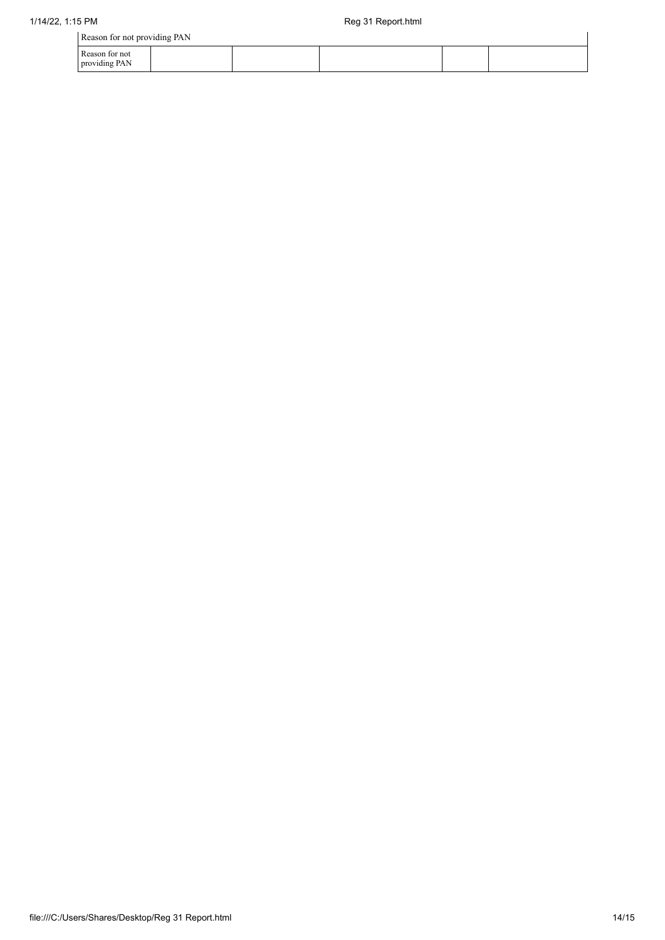| Reason for not providing PAN    |  |  |  |  |  |  |
|---------------------------------|--|--|--|--|--|--|
| Reason for not<br>providing PAN |  |  |  |  |  |  |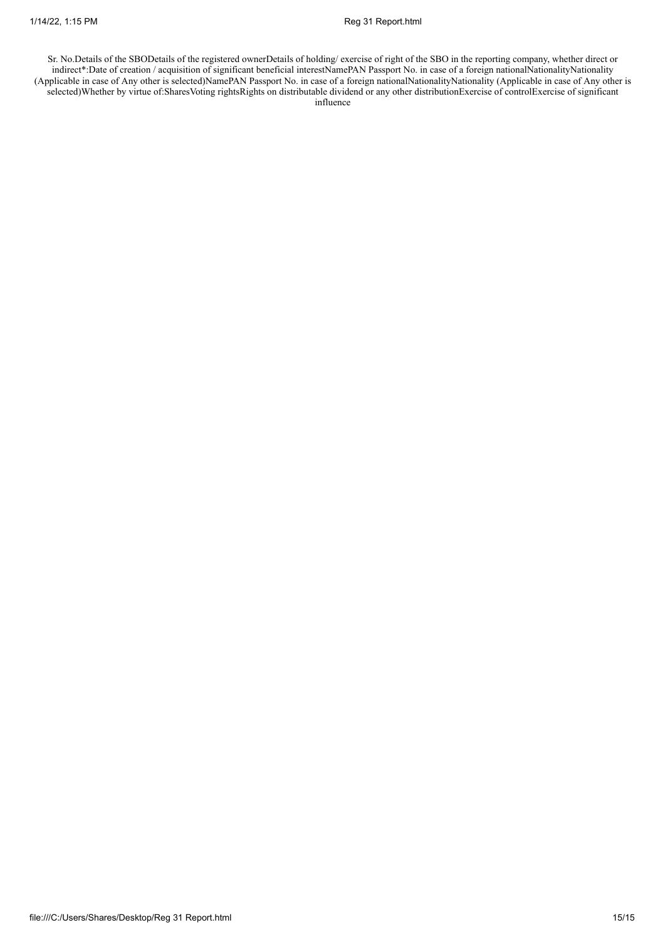Sr. No.Details of the SBODetails of the registered ownerDetails of holding/ exercise of right of the SBO in the reporting company, whether direct or indirect\*:Date of creation / acquisition of significant beneficial interestNamePAN Passport No. in case of a foreign nationalNationalityNationality (Applicable in case of Any other is selected)NamePAN Passport No. in case of a foreign nationalNationalityNationality (Applicable in case of Any other is selected)Whether by virtue of:SharesVoting rightsRights on distributable dividend or any other distributionExercise of controlExercise of significant influence